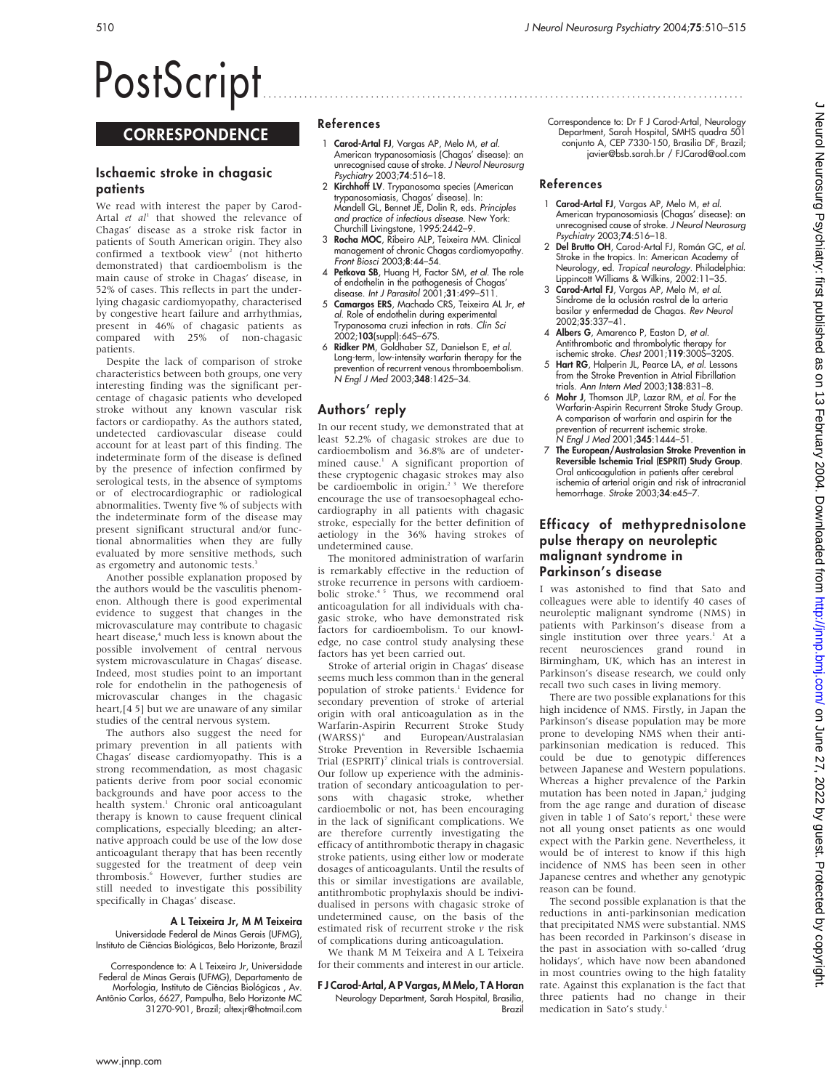# PostScript ..............................................................................................

# **CORRESPONDENCE**

# Ischaemic stroke in chagasic patients

We read with interest the paper by Carod-Artal et  $al<sup>1</sup>$  that showed the relevance of Chagas' disease as a stroke risk factor in patients of South American origin. They also confirmed a textbook view<sup>2</sup> (not hitherto demonstrated) that cardioembolism is the main cause of stroke in Chagas' disease, in 52% of cases. This reflects in part the underlying chagasic cardiomyopathy, characterised by congestive heart failure and arrhythmias, present in 46% of chagasic patients as compared with 25% of non-chagasic patients.

Despite the lack of comparison of stroke characteristics between both groups, one very interesting finding was the significant percentage of chagasic patients who developed stroke without any known vascular risk factors or cardiopathy. As the authors stated, undetected cardiovascular disease could account for at least part of this finding. The indeterminate form of the disease is defined by the presence of infection confirmed by serological tests, in the absence of symptoms or of electrocardiographic or radiological abnormalities. Twenty five % of subjects with the indeterminate form of the disease may present significant structural and/or functional abnormalities when they are fully evaluated by more sensitive methods, such as ergometry and autonomic tests.<sup>3</sup>

Another possible explanation proposed by the authors would be the vasculitis phenomenon. Although there is good experimental evidence to suggest that changes in the microvasculature may contribute to chagasic heart disease, $4$  much less is known about the possible involvement of central nervous system microvasculature in Chagas' disease. Indeed, most studies point to an important role for endothelin in the pathogenesis of microvascular changes in the chagasic heart,[4 5] but we are unaware of any similar studies of the central nervous system.

The authors also suggest the need for primary prevention in all patients with Chagas' disease cardiomyopathy. This is a strong recommendation, as most chagasic patients derive from poor social economic backgrounds and have poor access to the health system.<sup>1</sup> Chronic oral anticoagulant therapy is known to cause frequent clinical complications, especially bleeding; an alternative approach could be use of the low dose anticoagulant therapy that has been recently suggested for the treatment of deep vein thrombosis.<sup>6</sup> However, further studies are still needed to investigate this possibility specifically in Chagas' disease.

## A L Teixeira Jr, M M Teixeira

Universidade Federal de Minas Gerais (UFMG), Instituto de Ciências Biológicas, Belo Horizonte, Brazil

Correspondence to: A L Teixeira Jr, Universidade Federal de Minas Gerais (UFMG), Departamento de Morfologia, Instituto de Ciências Biológicas, Av. Antônio Carlos, 6627, Pampulha, Belo Horizonte MC 31270-901, Brazil; altexjr@hotmail.com

# References

- 1 Carod-Artal FJ, Vargas AP, Melo M, et al. American trypanosomiasis (Chagas' disease): an unrecognised cause of stroke. J Neurol Neurosurg Psychiatry 2003;74:516–18.
- 2 Kirchhoff LV. Trypanosoma species (American trypanosomiasis, Chagas' disease). In: Mandell GL, Bennet JE, Dolin R, eds. Principles and practice of infectious disease. New York: Churchill Livingstone, 1995:2442–9.
- 3 Rocha MOC, Ribeiro ALP, Teixeira MM. Clinical management of chronic Chagas cardiomyopathy. Front Biosci 2003;8:44–54.
- 4 Petkova SB, Huang H, Factor SM, et al. The role of endothelin in the pathogenesis of Chagas' disease. Int J Parasitol  $2001;31:499-511$
- 5 Camargos ERS, Machado CRS, Teixeira AL Jr, et al. Role of endothelin during experimental Trypanosoma cruzi infection in rats. Clin Sci 2002;103(suppl):64S–67S.
- 6 Ridker PM, Goldhaber SZ, Danielson E, et al. Long-term, low-intensity warfarin therapy for the prevention of recurrent venous thromboembolism. N Engl J Med 2003;348:1425–34.

# Authors' reply

In our recent study, we demonstrated that at least 52.2% of chagasic strokes are due to cardioembolism and 36.8% are of undetermined cause.<sup>1</sup> A significant proportion of these cryptogenic chagasic strokes may also be cardioembolic in origin.<sup>23</sup> We therefore encourage the use of transoesophageal echocardiography in all patients with chagasic stroke, especially for the better definition of aetiology in the 36% having strokes of undetermined cause.

The monitored administration of warfarin is remarkably effective in the reduction of stroke recurrence in persons with cardioembolic stroke.<sup>45</sup> Thus, we recommend oral anticoagulation for all individuals with chagasic stroke, who have demonstrated risk factors for cardioembolism. To our knowledge, no case control study analysing these factors has yet been carried out.

Stroke of arterial origin in Chagas' disease seems much less common than in the general population of stroke patients.<sup>1</sup> Evidence for secondary prevention of stroke of arterial origin with oral anticoagulation as in the Warfarin-Aspirin Recurrent Stroke Study<br>(WARSS)<sup>6</sup> and European/Australasian and European/Australasian Stroke Prevention in Reversible Ischaemia Trial (ESPRIT)<sup>7</sup> clinical trials is controversial. Our follow up experience with the administration of secondary anticoagulation to persons with chagasic stroke, whether cardioembolic or not, has been encouraging in the lack of significant complications. We are therefore currently investigating the efficacy of antithrombotic therapy in chagasic stroke patients, using either low or moderate dosages of anticoagulants. Until the results of this or similar investigations are available, antithrombotic prophylaxis should be individualised in persons with chagasic stroke of undetermined cause, on the basis of the estimated risk of recurrent stroke  $\nu$  the risk of complications during anticoagulation.

We thank M M Teixeira and A L Teixeira for their comments and interest in our article.

## F J Carod-Artal, A P Vargas, M Melo, T A Horan

Neurology Department, Sarah Hospital, Brasilia, **Brazi** 

Correspondence to: Dr F J Carod-Artal, Neurology Department, Sarah Hospital, SMHS quadra 501 conjunto A, CEP 7330-150, Brasilia DF, Brazil; javier@bsb.sarah.br / FJCarod@aol.com

## References

- 1 Carod-Artal FJ, Vargas AP, Melo M, et al. American trypanosomiasis (Chagas' disease): an unrecognised cause of stroke. J Neurol Neurosurg Psychiatry 2003;74:516–18.
- 2 Del Brutto OH, Carod-Artal FJ, Román GC, et al. Stroke in the tropics. In: American Academy of Neurology, ed. Tropical neurology. Philadelphia: Lippincott Williams & Wilkins, 2002:11-35.
- 3 Carod-Artal FJ, Vargas AP, Melo M, et al. Síndrome de la oclusión rostral de la arteria basilar y enfermedad de Chagas. Rev Neurol 2002;35:337–41.
- 4 Albers G, Amarenco P, Easton D, et al. Antithrombotic and thrombolytic therapy for ischemic stroke. Chest 2001;119:300S–320S.
- 5 **Hart RG**, Halperin JL, Pearce LA, et al. Lessons from the Stroke Prevention in Atrial Fibrillation trials. Ann Intern Med 2003;138:831–8.
- 6 Mohr J, Thomson JLP, Lazar RM, et al. For the Warfarin-Aspirin Recurrent Stroke Study Group. A comparison of warfarin and aspirin for the prevention of recurrent ischemic stroke. N Engl J Med 2001; 345: 1444-51.
- The European/Australasian Stroke Prevention in Reversible Ischemia Trial (ESPRIT) Study Group. Oral anticoagulation in patients after cerebral ischemia of arterial origin and risk of intracranial hemorrhage. Stroke 2003;34:e45-7.

# Efficacy of methyprednisolone pulse therapy on neuroleptic malignant syndrome in Parkinson's disease

I was astonished to find that Sato and colleagues were able to identify 40 cases of neuroleptic malignant syndrome (NMS) in patients with Parkinson's disease from a single institution over three years.<sup>1</sup> At a recent neurosciences grand round in Birmingham, UK, which has an interest in Parkinson's disease research, we could only recall two such cases in living memory.

There are two possible explanations for this high incidence of NMS. Firstly, in Japan the Parkinson's disease population may be more prone to developing NMS when their antiparkinsonian medication is reduced. This could be due to genotypic differences between Japanese and Western populations. Whereas a higher prevalence of the Parkin mutation has been noted in Japan,<sup>2</sup> judging from the age range and duration of disease given in table 1 of Sato's report, $^1$  these were not all young onset patients as one would expect with the Parkin gene. Nevertheless, it would be of interest to know if this high incidence of NMS has been seen in other Japanese centres and whether any genotypic reason can be found.

The second possible explanation is that the reductions in anti-parkinsonian medication that precipitated NMS were substantial. NMS has been recorded in Parkinson's disease in the past in association with so-called 'drug holidays', which have now been abandoned in most countries owing to the high fatality rate. Against this explanation is the fact that three patients had no change in their medication in Sato's study.<sup>1</sup>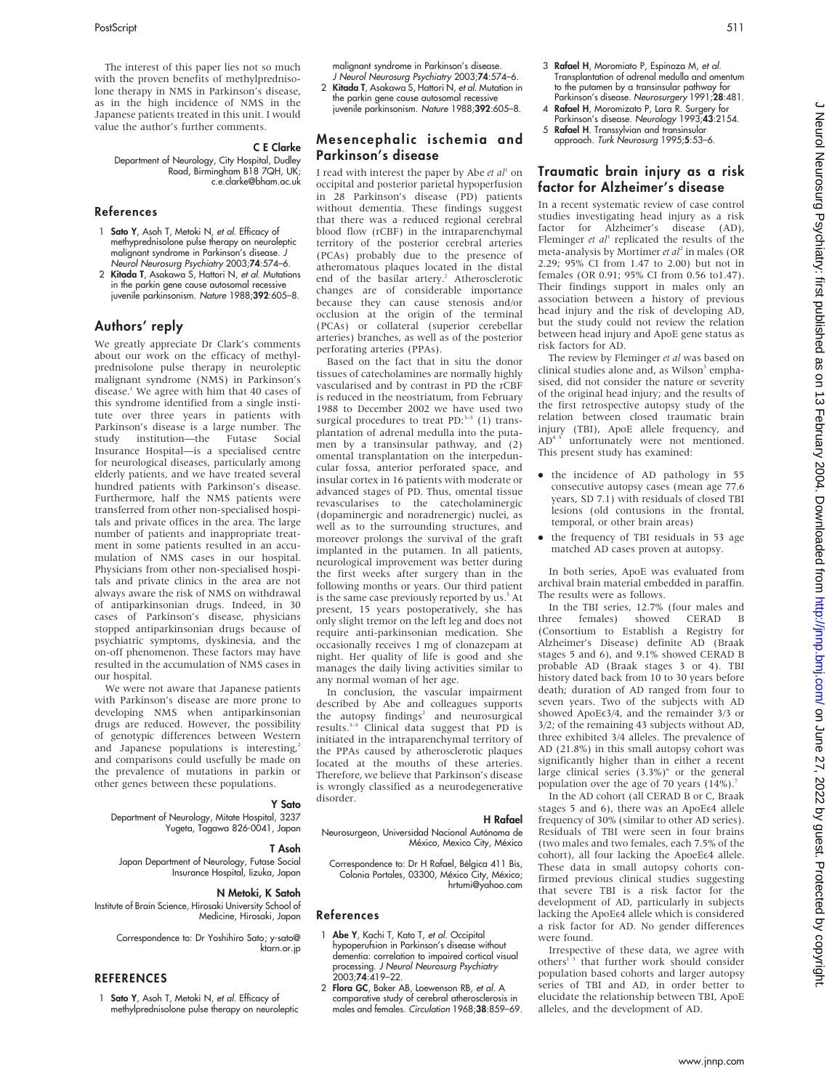The interest of this paper lies not so much with the proven benefits of methylprednisolone therapy in NMS in Parkinson's disease, as in the high incidence of NMS in the Japanese patients treated in this unit. I would value the author's further comments.

## C E Clarke

Department of Neurology, City Hospital, Dudley Road, Birmingham B18 7QH, UK; c.e.clarke@bham.ac.uk

## References

- 1 Sato Y, Asoh T, Metoki N, et al. Efficacy of methyprednisolone pulse therapy on neuroleptic malignant syndrome in Parkinson's disease. J Neurol Neurosurg Psychiatry 2003;74:574–6.
- 2 Kitada T, Asakawa S, Hattori N, et al. Mutations in the parkin gene cause autosomal recessive juvenile parkinsonism. Nature 1988;392:605–8.

## Authors' reply

We greatly appreciate Dr Clark's comments about our work on the efficacy of methylprednisolone pulse therapy in neuroleptic malignant syndrome (NMS) in Parkinson's disease.<sup>1</sup> We agree with him that 40 cases of this syndrome identified from a single institute over three years in patients with Parkinson's disease is a large number. The study institution—the Futase Social Insurance Hospital—is a specialised centre for neurological diseases, particularly among elderly patients, and we have treated several hundred patients with Parkinson's disease. Furthermore, half the NMS patients were transferred from other non-specialised hospitals and private offices in the area. The large number of patients and inappropriate treatment in some patients resulted in an accumulation of NMS cases in our hospital. Physicians from other non-specialised hospitals and private clinics in the area are not always aware the risk of NMS on withdrawal of antiparkinsonian drugs. Indeed, in 30 cases of Parkinson's disease, physicians stopped antiparkinsonian drugs because of psychiatric symptoms, dyskinesia, and the on-off phenomenon. These factors may have resulted in the accumulation of NMS cases in our hospital.

We were not aware that Japanese patients with Parkinson's disease are more prone to developing NMS when antiparkinsonian drugs are reduced. However, the possibility of genotypic differences between Western and Japanese populations is interesting,<sup>2</sup> and comparisons could usefully be made on the prevalence of mutations in parkin or other genes between these populations.

#### Y Sato

Department of Neurology, Mitate Hospital, 3237 Yugeta, Tagawa 826-0041, Japan

#### T Asoh

Japan Department of Neurology, Futase Social Insurance Hospital, Iizuka, Japan

#### N Metoki, K Satoh

Institute of Brain Science, Hirosaki University School of Medicine, Hirosaki, Japan

> Correspondence to: Dr Yoshihiro Sato; y-sato@ ktarn.or.jp

## **REFERENCES**

1 Sato Y, Asoh T, Metoki N, et al. Efficacy of methylprednisolone pulse therapy on neuroleptic malignant syndrome in Parkinson's disease. J Neurol Neurosurg Psychiatry 2003;74:574–6.

- 2 Kitada T, Asakawa S, Hattori N, et al. Mutation in the parkin gene cause autosomal recessive
- juvenile parkinsonism. Nature 1988;392:605–8.

## Mesencephalic ischemia and Parkinson's disease

I read with interest the paper by Abe et  $al<sup>1</sup>$  on occipital and posterior parietal hypoperfusion in 28 Parkinson's disease (PD) patients without dementia. These findings suggest that there was a reduced regional cerebral blood flow (rCBF) in the intraparenchymal territory of the posterior cerebral arteries (PCAs) probably due to the presence of atheromatous plaques located in the distal end of the basilar artery.<sup>2</sup> Atherosclerotic changes are of considerable importance because they can cause stenosis and/or occlusion at the origin of the terminal (PCAs) or collateral (superior cerebellar arteries) branches, as well as of the posterior perforating arteries (PPAs).

Based on the fact that in situ the donor tissues of catecholamines are normally highly vascularised and by contrast in PD the rCBF is reduced in the neostriatum, from February 1988 to December 2002 we have used two surgical procedures to treat PD: $3-5$  (1) transplantation of adrenal medulla into the putamen by a transinsular pathway, and (2) omental transplantation on the interpeduncular fossa, anterior perforated space, and insular cortex in 16 patients with moderate or advanced stages of PD. Thus, omental tissue revascularises to the catecholaminergic (dopaminergic and noradrenergic) nuclei, as well as to the surrounding structures, and moreover prolongs the survival of the graft implanted in the putamen. In all patients, neurological improvement was better during the first weeks after surgery than in the following months or years. Our third patient is the same case previously reported by us.<sup>3</sup> At present, 15 years postoperatively, she has only slight tremor on the left leg and does not require anti-parkinsonian medication. She occasionally receives 1 mg of clonazepam at night. Her quality of life is good and she manages the daily living activities similar to any normal woman of her age.

In conclusion, the vascular impairment described by Abe and colleagues supports the autopsy findings<sup>2</sup> and neurosurgical results.3–5 Clinical data suggest that PD is initiated in the intraparenchymal territory of the PPAs caused by atherosclerotic plaques located at the mouths of these arteries. Therefore, we believe that Parkinson's disease is wrongly classified as a neurodegenerative disorder.

#### H Rafael

Neurosurgeon, Universidad Nacional Autónoma de México, Mexico City, México

Correspondence to: Dr H Rafael, Bélgica 411 Bis, Colonia Portales, 03300, México City, México; hrtumi@yahoo.com

#### References

- 1 Abe Y, Kachi T, Kato T, et al. Occipital hypoperufsion in Parkinson's disease without dementia: correlation to impaired cortical visual processing. J Neurol Neurosurg Psychiatry 2003;74:419–22.
- 2 Flora GC, Baker AB, Loewenson RB, et al. A comparative study of cerebral atherosclerosis in males and females. Circulation 1968;38:859–69.
- 3 Rafael H, Moromiato P, Espinoza M, et al. Transplantation of adrenal medulla and omentum to the putamen by a transinsular pathway for Parkinson's disease. Neurosurgery 1991;28:481.
- 4 **Rafael H**, Moromizato P, Lara R, Surgery for Parkinson's disease. Neurology 1993;43:2154.
- 5 Rafael H. Transsylvian and transinsular approach. Turk Neurosurg 1995;5:53–6.

## Traumatic brain injury as a risk factor for Alzheimer's disease

In a recent systematic review of case control studies investigating head injury as a risk factor for Alzheimer's disease (AD), Fleminger et  $al<sup>1</sup>$  replicated the results of the meta-analysis by Mortimer *et*  $a^2$  in males (OR 2.29; 95% CI from 1.47 to 2.00) but not in females (OR 0.91; 95% CI from 0.56 to1.47). Their findings support in males only an association between a history of previous head injury and the risk of developing AD, but the study could not review the relation between head injury and ApoE gene status as risk factors for AD.

The review by Fleminger et al was based on clinical studies alone and, as Wilson<sup>3</sup> emphasised, did not consider the nature or severity of the original head injury; and the results of the first retrospective autopsy study of the relation between closed traumatic brain injury (TBI), ApoE allele frequency, and AD4 5 unfortunately were not mentioned. This present study has examined:

- the incidence of AD pathology in 55 consecutive autopsy cases (mean age 77.6 years, SD 7.1) with residuals of closed TBI lesions (old contusions in the frontal, temporal, or other brain areas)
- the frequency of TBI residuals in 53 age matched AD cases proven at autopsy.

In both series, ApoE was evaluated from archival brain material embedded in paraffin. The results were as follows.

In the TBI series, 12.7% (four males and<br>ree females) showed CERAD B three females) showed CERAD B (Consortium to Establish a Registry for Alzheimer's Disease) definite AD (Braak stages 5 and 6), and 9.1% showed CERAD B probable AD (Braak stages 3 or 4). TBI history dated back from 10 to 30 years before death; duration of AD ranged from four to seven years. Two of the subjects with AD showed ApoEe3/4, and the remainder 3/3 or 3/2; of the remaining 43 subjects without AD, three exhibited 3/4 alleles. The prevalence of AD (21.8%) in this small autopsy cohort was significantly higher than in either a recent large clinical series  $(3.3\%)^6$  or the general population over the age of 70 years  $(14%)$ .<sup>7</sup>

In the AD cohort (all CERAD B or C, Braak stages 5 and 6), there was an ApoEe4 allele frequency of 30% (similar to other AD series). Residuals of TBI were seen in four brains (two males and two females, each 7.5% of the cohort), all four lacking the ApoeEe4 allele. These data in small autopsy cohorts confirmed previous clinical studies suggesting that severe TBI is a risk factor for the development of AD, particularly in subjects lacking the ApoEe4 allele which is considered a risk factor for AD. No gender differences were found.

Irrespective of these data, we agree with others<sup>13</sup> that further work should consider population based cohorts and larger autopsy series of TBI and AD, in order better to elucidate the relationship between TBI, ApoE alleles, and the development of AD.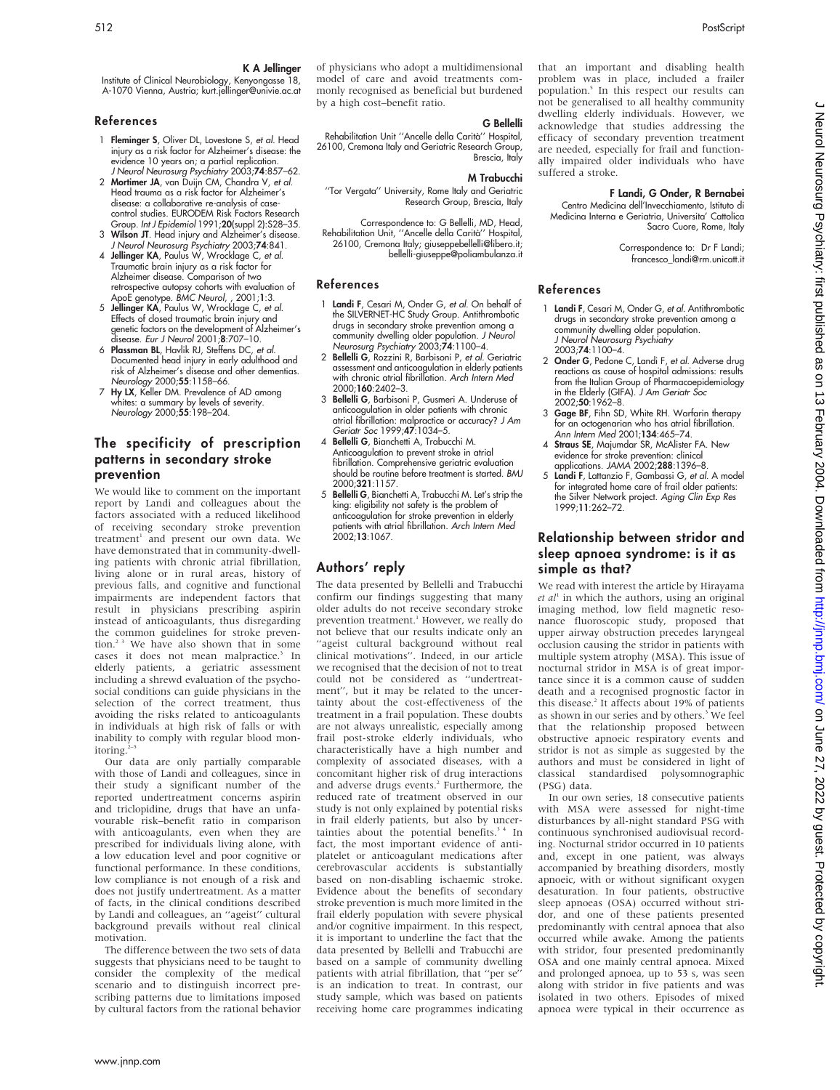Institute of Clinical Neurobiology, Kenyongasse 18, A-1070 Vienna, Austria; kurt.jellinger@univie.ac.at

## References

- 1 Fleminger S, Oliver DL, Lovestone S, et al. Head injury as a risk factor for Alzheimer's disease: the evidence 10 years on; a partial replication. J Neurol Neurosurg Psychiatry 2003;74:857–62.
- 2 Mortimer JA, van Duijn CM, Chandra V, et al. Head trauma as a risk factor for Alzheimer's disease: a collaborative re-analysis of casecontrol studies. EURODEM Risk Factors Research Group. Int J Epidemiol 1991;20(suppl 2):S28–35.
- 3 Wilson JT. Head injury and Alzheimer's disease. J Neurol Neurosurg Psychiatry 2003;74:841. 4 Jellinger KA, Paulus W, Wrocklage C, et al. Traumatic brain injury as a risk factor for
- Alzheimer disease. Comparison of two retrospective autopsy cohorts with evaluation of ApoE genotype. BMC Neurol, , 2001;1:3.
- 5 Jellinger KA, Paulus W, Wrocklage C, et al. Effects of closed traumatic brain injury and genetic factors on the development of Alzheimer's
- disease. *Eur J Neurol* 2001;8:707–10.<br>6 **Plassman BL**, Havlik RJ, Steffens DC, *et al.*<br>Documented head injury in early adulthood and<br>risk of Alzheimer's disease and other dementias. Neurology 2000;55:1158–66.
- 7 Hy LX, Keller DM. Prevalence of AD among whites: a summary by levels of severity. Neurology 2000;55:198–204.

# The specificity of prescription patterns in secondary stroke prevention

We would like to comment on the important report by Landi and colleagues about the factors associated with a reduced likelihood of receiving secondary stroke prevention treatment<sup>1</sup> and present our own data. We have demonstrated that in community-dwelling patients with chronic atrial fibrillation, living alone or in rural areas, history of previous falls, and cognitive and functional impairments are independent factors that result in physicians prescribing aspirin instead of anticoagulants, thus disregarding the common guidelines for stroke prevention.<sup>2.3</sup> We have also shown that in some cases it does not mean malpractice.<sup>3</sup> In elderly patients, a geriatric assessment including a shrewd evaluation of the psychosocial conditions can guide physicians in the selection of the correct treatment, thus avoiding the risks related to anticoagulants in individuals at high risk of falls or with inability to comply with regular blood monitoring.

Our data are only partially comparable with those of Landi and colleagues, since in their study a significant number of the reported undertreatment concerns aspirin and triclopidine, drugs that have an unfavourable risk–benefit ratio in comparison with anticoagulants, even when they are prescribed for individuals living alone, with a low education level and poor cognitive or functional performance. In these conditions, low compliance is not enough of a risk and does not justify undertreatment. As a matter of facts, in the clinical conditions described by Landi and colleagues, an ''ageist'' cultural background prevails without real clinical motivation.

The difference between the two sets of data suggests that physicians need to be taught to consider the complexity of the medical scenario and to distinguish incorrect prescribing patterns due to limitations imposed by cultural factors from the rational behavior of physicians who adopt a multidimensional model of care and avoid treatments commonly recognised as beneficial but burdened by a high cost–benefit ratio.

#### G Bellelli

Rehabilitation Unit "Ancelle della Carità" Hospital, 26100, Cremona Italy and Geriatric Research Group, Brescia, Italy

## M Trabucchi

''Tor Vergata'' University, Rome Italy and Geriatric Research Group, Brescia, Italy

Correspondence to: G Bellelli, MD, Head, Rehabilitation Unit, ''Ancelle della Carita`'' Hospital, 26100, Cremona Italy; giuseppebellelli@libero.it; bellelli-giuseppe@poliambulanza.it

#### References

- 1 Landi F, Cesari M, Onder G, et al. On behalf of the SILVERNET-HC Study Group. Antithrombotic drugs in secondary stroke prevention among a community dwelling older population. J Neurol Neurosurg Psychiatry 2003;74:1100–4.
- 2 Bellelli G, Rozzini R, Barbisoni P, et al. Geriatric assessment and anticoagulation in elderly patients with chronic atrial fibrillation. Arch Intern Med 2000;160:2402–3.
- 3 Bellelli G, Barbisoni P, Gusmeri A. Underuse of anticoagulation in older patients with chronic atrial fibrillation: malpractice or accuracy? J Am Geriatr Soc 1999;47:1034–5.
- 4 Bellelli G, Bianchetti A, Trabucchi M. Anticoagulation to prevent stroke in atrial fibrillation. Comprehensive geriatric evaluation should be routine before treatment is started. BMJ 2000;321:1157.
- 5 Bellelli G, Bianchetti A, Trabucchi M. Let's strip the king: eligibility not safety is the problem of anticoagulation for stroke prevention in elderly patients with atrial fibrillation. *Arch Intern Med*<br>2002;**13**:1067.

# Authors' reply

The data presented by Bellelli and Trabucchi confirm our findings suggesting that many older adults do not receive secondary stroke prevention treatment.<sup>1</sup> However, we really do not believe that our results indicate only an "ageist cultural background without real clinical motivations''. Indeed, in our article we recognised that the decision of not to treat could not be considered as ''undertreatment'', but it may be related to the uncertainty about the cost-effectiveness of the treatment in a frail population. These doubts are not always unrealistic, especially among frail post-stroke elderly individuals, who characteristically have a high number and complexity of associated diseases, with a concomitant higher risk of drug interactions and adverse drugs events.<sup>2</sup> Furthermore, the reduced rate of treatment observed in our study is not only explained by potential risks in frail elderly patients, but also by uncertainties about the potential benefits.<sup>34</sup> In fact, the most important evidence of antiplatelet or anticoagulant medications after cerebrovascular accidents is substantially based on non-disabling ischaemic stroke. Evidence about the benefits of secondary stroke prevention is much more limited in the frail elderly population with severe physical and/or cognitive impairment. In this respect, it is important to underline the fact that the data presented by Bellelli and Trabucchi are based on a sample of community dwelling patients with atrial fibrillation, that ''per se'' is an indication to treat. In contrast, our study sample, which was based on patients receiving home care programmes indicating

that an important and disabling health problem was in place, included a frailer population.5 In this respect our results can not be generalised to all healthy community dwelling elderly individuals. However, we acknowledge that studies addressing the efficacy of secondary prevention treatment are needed, especially for frail and functionally impaired older individuals who have suffered a stroke.

## F Landi, G Onder, R Bernabei

Centro Medicina dell'Invecchiamento, Istituto di Medicina Interna e Geriatria, Universita' Cattolica Sacro Cuore, Rome, Italy

> Correspondence to: Dr F Landi; francesco\_landi@rm.unicatt.it

## References

- 1 Landi F, Cesari M, Onder G, et al. Antithrombotic drugs in secondary stroke prevention among a community dwelling older population. J Neurol Neurosurg Psychiatry 2003;74:1100–4.
- 2 Onder G, Pedone C, Landi F, et al. Adverse drug reactions as cause of hospital admissions: results from the Italian Group of Pharmacoepidemiology in the Elderly (GIFA). J Am Geriatr Soc 2002;50:1962–8.
- 3 Gage BF, Fihn SD, White RH. Warfarin therapy for an octogenarian who has atrial fibrillation. Ann Intern Med 2001;134:465–74.
- 4 Straus SE, Majumdar SR, McAlister FA. New evidence for stroke prevention: clinical applications. JAMA 2002;288:1396–8.
- Landi F, Lattanzio F, Gambassi G, et al. A model for integrated home care of frail older patients: the Silver Network project. Aging Clin Exp Res 1999;11:262–72.

# Relationship between stridor and sleep apnoea syndrome: is it as simple as that?

We read with interest the article by Hirayama  $et$   $al<sup>1</sup>$  in which the authors, using an original imaging method, low field magnetic resonance fluoroscopic study, proposed that upper airway obstruction precedes laryngeal occlusion causing the stridor in patients with multiple system atrophy (MSA). This issue of nocturnal stridor in MSA is of great importance since it is a common cause of sudden death and a recognised prognostic factor in this disease.2 It affects about 19% of patients as shown in our series and by others.<sup>3</sup> We feel that the relationship proposed between obstructive apnoeic respiratory events and stridor is not as simple as suggested by the authors and must be considered in light of classical standardised polysomnographic (PSG) data.

In our own series, 18 consecutive patients with MSA were assessed for night-time disturbances by all-night standard PSG with continuous synchronised audiovisual recording. Nocturnal stridor occurred in 10 patients and, except in one patient, was always accompanied by breathing disorders, mostly apnoeic, with or without significant oxygen desaturation. In four patients, obstructive sleep apnoeas (OSA) occurred without stridor, and one of these patients presented predominantly with central apnoea that also occurred while awake. Among the patients with stridor, four presented predominantly OSA and one mainly central apnoea. Mixed and prolonged apnoea, up to 53 s, was seen along with stridor in five patients and was isolated in two others. Episodes of mixed apnoea were typical in their occurrence as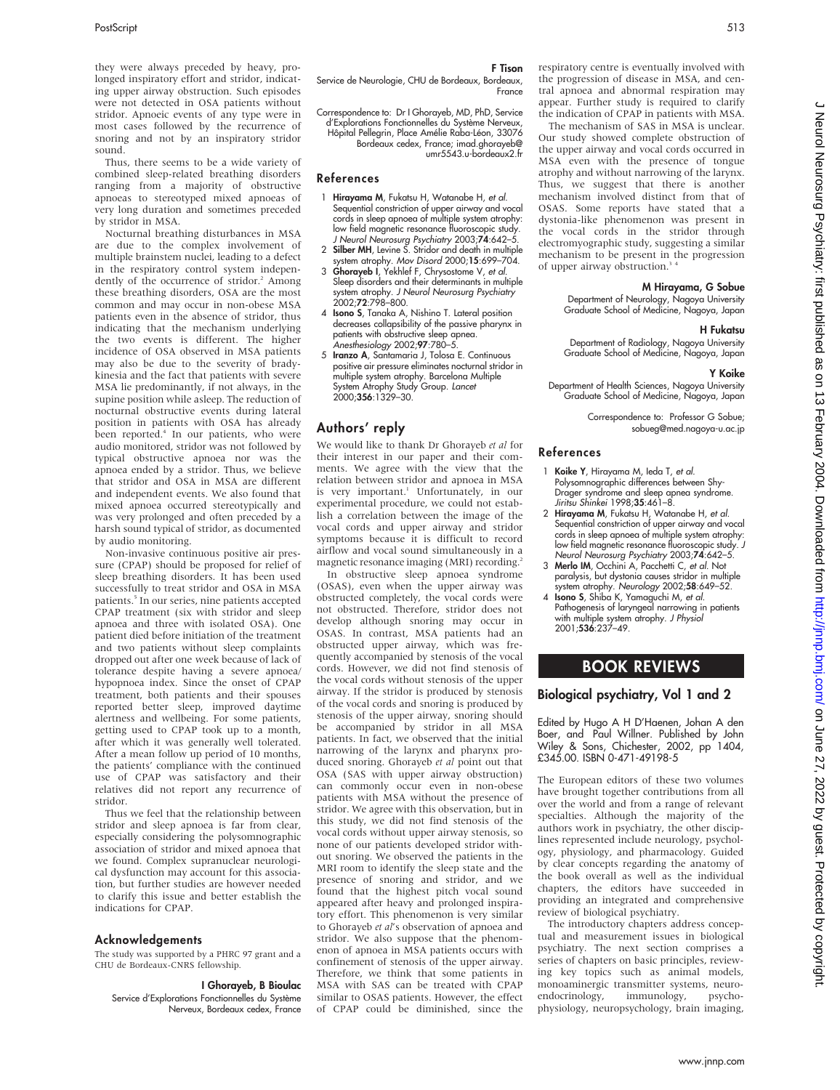they were always preceded by heavy, prolonged inspiratory effort and stridor, indicating upper airway obstruction. Such episodes were not detected in OSA patients without stridor. Apnoeic events of any type were in most cases followed by the recurrence of snoring and not by an inspiratory stridor sound.

Thus, there seems to be a wide variety of combined sleep-related breathing disorders ranging from a majority of obstructive apnoeas to stereotyped mixed apnoeas of very long duration and sometimes preceded by stridor in MSA.

Nocturnal breathing disturbances in MSA are due to the complex involvement of multiple brainstem nuclei, leading to a defect in the respiratory control system independently of the occurrence of stridor.<sup>2</sup> Among these breathing disorders, OSA are the most common and may occur in non-obese MSA patients even in the absence of stridor, thus indicating that the mechanism underlying the two events is different. The higher incidence of OSA observed in MSA patients may also be due to the severity of bradykinesia and the fact that patients with severe MSA lie predominantly, if not always, in the supine position while asleep. The reduction of nocturnal obstructive events during lateral position in patients with OSA has already been reported.<sup>4</sup> In our patients, who were audio monitored, stridor was not followed by typical obstructive apnoea nor was the apnoea ended by a stridor. Thus, we believe that stridor and OSA in MSA are different and independent events. We also found that mixed apnoea occurred stereotypically and was very prolonged and often preceded by a harsh sound typical of stridor, as documented by audio monitoring.

Non-invasive continuous positive air pressure (CPAP) should be proposed for relief of sleep breathing disorders. It has been used successfully to treat stridor and OSA in MSA patients.<sup>5</sup> In our series, nine patients accepted CPAP treatment (six with stridor and sleep apnoea and three with isolated OSA). One patient died before initiation of the treatment and two patients without sleep complaints dropped out after one week because of lack of tolerance despite having a severe apnoea/ hypopnoea index. Since the onset of CPAP treatment, both patients and their spouses reported better sleep, improved daytime alertness and wellbeing. For some patients, getting used to CPAP took up to a month, after which it was generally well tolerated. After a mean follow up period of 10 months, the patients' compliance with the continued use of CPAP was satisfactory and their relatives did not report any recurrence of stridor.

Thus we feel that the relationship between stridor and sleep apnoea is far from clear, especially considering the polysomnographic association of stridor and mixed apnoea that we found. Complex supranuclear neurological dysfunction may account for this association, but further studies are however needed to clarify this issue and better establish the indications for CPAP.

## Acknowledgements

The study was supported by a PHRC 97 grant and a CHU de Bordeaux-CNRS fellowship.

I Ghorayeb, B Bioulac Service d'Explorations Fonctionnelles du Système Nerveux, Bordeaux cedex, France

#### F Tison

Service de Neurologie, CHU de Bordeaux, Bordeaux, **France** 

Correspondence to: Dr I Ghorayeb, MD, PhD, Service d'Explorations Fonctionnelles du Système Nerveux, Hôpital Pellegrin, Place Amélie Raba-Léon, 33076 Bordeaux cedex, France; imad.ghorayeb@ umr5543.u-bordeaux2.fr

#### References

- 1 Hirayama M, Fukatsu H, Watanabe H, et al. Sequential constriction of upper airway and vocal cords in sleep apnoea of multiple system atrophy: low field magnetic resonance fluoroscopic study.
- J Neurol Neurosurg Psychiatry 2003;74:642–5. 2 Silber MH, Levine S. Stridor and death in multiple system atrophy. Mov Disord 2000;15:699–704.
- 3 Ghorayeb I, Yekhlef F, Chrysostome V, et al. Sleep disorders and their determinants in multiple system atrophy. J Neurol Neurosurg Psychiatry 2002;72:798–800.
- 4 Isono S, Tanaka A, Nishino T. Lateral position decreases collapsibility of the passive pharynx in patients with obstructive sleep apnea. Anesthesiology 2002;97:780–5.
- 5 Iranzo A, Santamaria J, Tolosa E. Continuous positive air pressure eliminates nocturnal stridor in multiple system atrophy. Barcelona Multiple System Atrophy Study Group. *Lancel*<br>2000;**356**:1329–30.

# Authors' reply

We would like to thank Dr Ghorayeb et al for their interest in our paper and their comments. We agree with the view that the relation between stridor and apnoea in MSA is very important.<sup>1</sup> Unfortunately, in our experimental procedure, we could not establish a correlation between the image of the vocal cords and upper airway and stridor symptoms because it is difficult to record airflow and vocal sound simultaneously in a magnetic resonance imaging (MRI) recording.<sup>2</sup>

In obstructive sleep apnoea syndrome (OSAS), even when the upper airway was obstructed completely, the vocal cords were not obstructed. Therefore, stridor does not develop although snoring may occur in OSAS. In contrast, MSA patients had an obstructed upper airway, which was frequently accompanied by stenosis of the vocal cords. However, we did not find stenosis of the vocal cords without stenosis of the upper airway. If the stridor is produced by stenosis of the vocal cords and snoring is produced by stenosis of the upper airway, snoring should be accompanied by stridor in all MSA patients. In fact, we observed that the initial narrowing of the larynx and pharynx produced snoring. Ghorayeb et al point out that OSA (SAS with upper airway obstruction) can commonly occur even in non-obese patients with MSA without the presence of stridor. We agree with this observation, but in this study, we did not find stenosis of the vocal cords without upper airway stenosis, so none of our patients developed stridor without snoring. We observed the patients in the MRI room to identify the sleep state and the presence of snoring and stridor, and we found that the highest pitch vocal sound appeared after heavy and prolonged inspiratory effort. This phenomenon is very similar to Ghorayeb et al's observation of apnoea and stridor. We also suppose that the phenomenon of apnoea in MSA patients occurs with confinement of stenosis of the upper airway. Therefore, we think that some patients in MSA with SAS can be treated with CPAP similar to OSAS patients. However, the effect of CPAP could be diminished, since the

respiratory centre is eventually involved with the progression of disease in MSA, and central apnoea and abnormal respiration may appear. Further study is required to clarify the indication of CPAP in patients with MSA.

The mechanism of SAS in MSA is unclear. Our study showed complete obstruction of the upper airway and vocal cords occurred in MSA even with the presence of tongue atrophy and without narrowing of the larynx. Thus, we suggest that there is another mechanism involved distinct from that of OSAS. Some reports have stated that a dystonia-like phenomenon was present in the vocal cords in the stridor through electromyographic study, suggesting a similar mechanism to be present in the progression of upper airway obstruction.<sup>3</sup>

#### M Hirayama, G Sobue

Department of Neurology, Nagoya University Graduate School of Medicine, Nagoya, Japan

#### H Fukatsu

Department of Radiology, Nagoya University Graduate School of Medicine, Nagoya, Japan

#### Y Koike

Department of Health Sciences, Nagoya University Graduate School of Medicine, Nagoya, Japan

Correspondence to: Professor G Sobue; sobueg@med.nagoya-u.ac.jp

#### References

- Koike Y, Hirayama M, Ieda T, et al. Polysomnographic differences between Shy-Drager syndrome and sleep apnea syndrome. Jiritsu Shinkei 1998;35:461–8.
- 2 Hirayama M, Fukatsu H, Watanabe H, et al. Sequential constriction of upper airway and vocal cords in sleep apnoea of multiple system atrophy: low field magnetic resonance fluoroscopic study. J Neurol Neurosurg Psychiatry 2003;74:642–5.
- 3 Merlo IM, Occhini A, Pacchetti C, et al. Not paralysis, but dystonia causes stridor in multiple
- system atrophy. Neurology 2002;**58**:649–52.<br>4 **Isono S**, Shiba K, Yamaguchi M, *et al.*<br>Pathogenesis of laryngeal narrowing in patients with multiple system atrophy. J Physiol 2001;536:237–49.

# BOOK REVIEWS

## Biological psychiatry, Vol 1 and 2

Edited by Hugo A H D'Haenen, Johan A den Boer, and Paul Willner. Published by John Wiley & Sons, Chichester, 2002, pp 1404, £345.00. ISBN 0-471-49198-5

The European editors of these two volumes have brought together contributions from all over the world and from a range of relevant specialties. Although the majority of the authors work in psychiatry, the other disciplines represented include neurology, psychology, physiology, and pharmacology. Guided by clear concepts regarding the anatomy of the book overall as well as the individual chapters, the editors have succeeded in providing an integrated and comprehensive review of biological psychiatry.

The introductory chapters address conceptual and measurement issues in biological psychiatry. The next section comprises a series of chapters on basic principles, reviewing key topics such as animal models, monoaminergic transmitter systems, neuro-<br>endocrinology, immunology, psychoendocrinology, physiology, neuropsychology, brain imaging,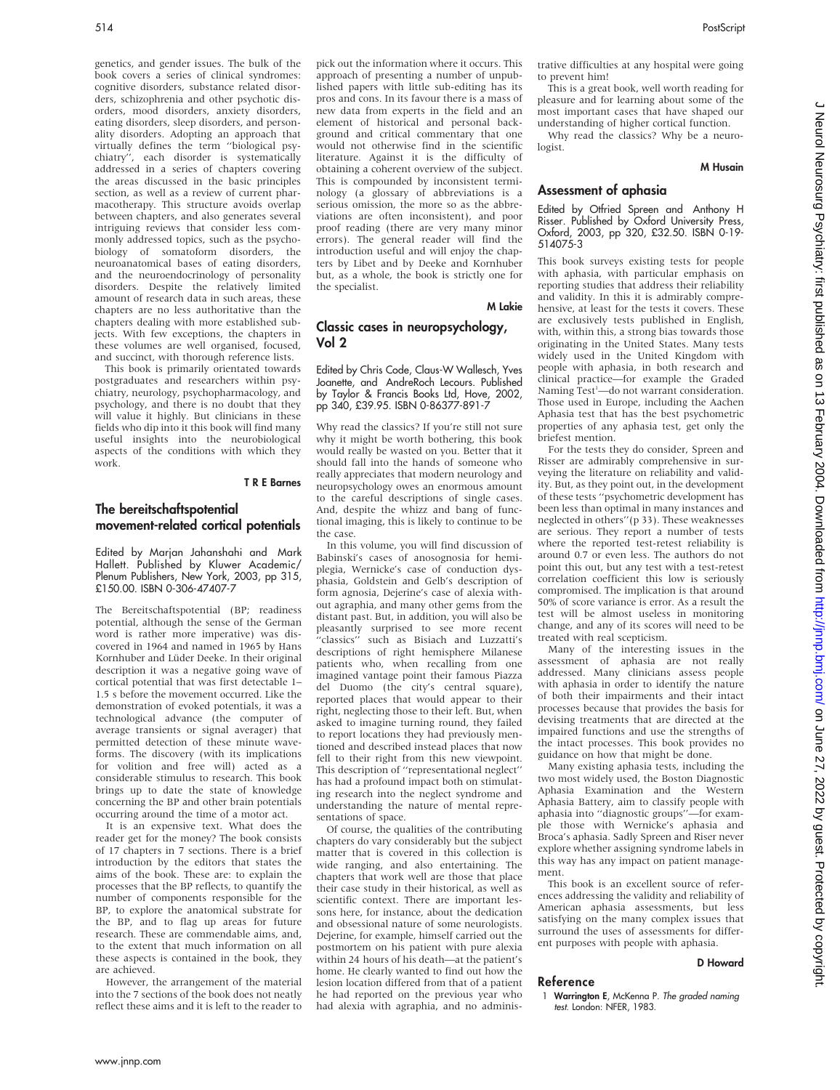genetics, and gender issues. The bulk of the book covers a series of clinical syndromes: cognitive disorders, substance related disorders, schizophrenia and other psychotic disorders, mood disorders, anxiety disorders, eating disorders, sleep disorders, and personality disorders. Adopting an approach that virtually defines the term ''biological psychiatry'', each disorder is systematically addressed in a series of chapters covering the areas discussed in the basic principles section, as well as a review of current pharmacotherapy. This structure avoids overlap between chapters, and also generates several intriguing reviews that consider less commonly addressed topics, such as the psychobiology of somatoform disorders, the neuroanatomical bases of eating disorders, and the neuroendocrinology of personality disorders. Despite the relatively limited amount of research data in such areas, these chapters are no less authoritative than the chapters dealing with more established subjects. With few exceptions, the chapters in these volumes are well organised, focused, and succinct, with thorough reference lists.

This book is primarily orientated towards postgraduates and researchers within psychiatry, neurology, psychopharmacology, and psychology, and there is no doubt that they will value it highly. But clinicians in these fields who dip into it this book will find many useful insights into the neurobiological aspects of the conditions with which they work.

T R E Barnes

## The bereitschaftspotential movement-related cortical potentials

Edited by Marjan Jahanshahi and Mark Hallett. Published by Kluwer Academic/ Plenum Publishers, New York, 2003, pp 315, £150.00. ISBN 0-306-47407-7

The Bereitschaftspotential (BP; readiness potential, although the sense of the German word is rather more imperative) was discovered in 1964 and named in 1965 by Hans Kornhuber and Lüder Deeke. In their original description it was a negative going wave of cortical potential that was first detectable 1– 1.5 s before the movement occurred. Like the demonstration of evoked potentials, it was a technological advance (the computer of average transients or signal averager) that permitted detection of these minute waveforms. The discovery (with its implications for volition and free will) acted as a considerable stimulus to research. This book brings up to date the state of knowledge concerning the BP and other brain potentials occurring around the time of a motor act.

It is an expensive text. What does the reader get for the money? The book consists of 17 chapters in 7 sections. There is a brief introduction by the editors that states the aims of the book. These are: to explain the processes that the BP reflects, to quantify the number of components responsible for the BP, to explore the anatomical substrate for the BP, and to flag up areas for future research. These are commendable aims, and, to the extent that much information on all these aspects is contained in the book, they are achieved.

However, the arrangement of the material into the 7 sections of the book does not neatly reflect these aims and it is left to the reader to pick out the information where it occurs. This approach of presenting a number of unpublished papers with little sub-editing has its pros and cons. In its favour there is a mass of new data from experts in the field and an element of historical and personal background and critical commentary that one would not otherwise find in the scientific literature. Against it is the difficulty of obtaining a coherent overview of the subject. This is compounded by inconsistent terminology (a glossary of abbreviations is a serious omission, the more so as the abbreviations are often inconsistent), and poor proof reading (there are very many minor errors). The general reader will find the introduction useful and will enjoy the chapters by Libet and by Deeke and Kornhuber but, as a whole, the book is strictly one for the specialist.

M Lakie

## Classic cases in neuropsychology, Vol 2

Edited by Chris Code, Claus-W Wallesch, Yves Joanette, and AndreRoch Lecours. Published by Taylor & Francis Books Ltd, Hove, 2002, pp 340, £39.95. ISBN 0-86377-891-7

Why read the classics? If you're still not sure why it might be worth bothering, this book would really be wasted on you. Better that it should fall into the hands of someone who really appreciates that modern neurology and neuropsychology owes an enormous amount to the careful descriptions of single cases. And, despite the whizz and bang of functional imaging, this is likely to continue to be the case.

In this volume, you will find discussion of Babinski's cases of anosognosia for hemiplegia, Wernicke's case of conduction dysphasia, Goldstein and Gelb's description of form agnosia, Dejerine's case of alexia without agraphia, and many other gems from the distant past. But, in addition, you will also be pleasantly surprised to see more recent 'classics'<sup>'</sup> such as Bisiach and Luzzatti's descriptions of right hemisphere Milanese patients who, when recalling from one imagined vantage point their famous Piazza del Duomo (the city's central square), reported places that would appear to their right, neglecting those to their left. But, when asked to imagine turning round, they failed to report locations they had previously mentioned and described instead places that now fell to their right from this new viewpoint. This description of ''representational neglect'' has had a profound impact both on stimulating research into the neglect syndrome and understanding the nature of mental representations of space.

Of course, the qualities of the contributing chapters do vary considerably but the subject matter that is covered in this collection is wide ranging, and also entertaining. The chapters that work well are those that place their case study in their historical, as well as scientific context. There are important lessons here, for instance, about the dedication and obsessional nature of some neurologists. Dejerine, for example, himself carried out the postmortem on his patient with pure alexia within 24 hours of his death—at the patient's home. He clearly wanted to find out how the lesion location differed from that of a patient he had reported on the previous year who had alexia with agraphia, and no administrative difficulties at any hospital were going to prevent him!

This is a great book, well worth reading for pleasure and for learning about some of the most important cases that have shaped our understanding of higher cortical function.

Why read the classics? Why be a neurologist.

#### M Husain

#### Assessment of aphasia

Edited by Otfried Spreen and Anthony H Risser. Published by Oxford University Press, Oxford, 2003, pp 320, £32.50. ISBN 0-19- 514075-3

This book surveys existing tests for people with aphasia, with particular emphasis on reporting studies that address their reliability and validity. In this it is admirably comprehensive, at least for the tests it covers. These are exclusively tests published in English, with, within this, a strong bias towards those originating in the United States. Many tests widely used in the United Kingdom with people with aphasia, in both research and clinical practice—for example the Graded Naming Test<sup>1</sup>-do not warrant consideration. Those used in Europe, including the Aachen Aphasia test that has the best psychometric properties of any aphasia test, get only the briefest mention.

For the tests they do consider, Spreen and Risser are admirably comprehensive in surveying the literature on reliability and validity. But, as they point out, in the development of these tests ''psychometric development has been less than optimal in many instances and neglected in others''(p 33). These weaknesses are serious. They report a number of tests where the reported test-retest reliability is around 0.7 or even less. The authors do not point this out, but any test with a test-retest correlation coefficient this low is seriously compromised. The implication is that around 50% of score variance is error. As a result the test will be almost useless in monitoring change, and any of its scores will need to be treated with real scepticism.

Many of the interesting issues in the assessment of aphasia are not really addressed. Many clinicians assess people with aphasia in order to identify the nature of both their impairments and their intact processes because that provides the basis for devising treatments that are directed at the impaired functions and use the strengths of the intact processes. This book provides no guidance on how that might be done.

Many existing aphasia tests, including the two most widely used, the Boston Diagnostic Aphasia Examination and the Western Aphasia Battery, aim to classify people with aphasia into ''diagnostic groups''—for example those with Wernicke's aphasia and Broca's aphasia. Sadly Spreen and Riser never explore whether assigning syndrome labels in this way has any impact on patient management.

This book is an excellent source of references addressing the validity and reliability of American aphasia assessments, but less satisfying on the many complex issues that surround the uses of assessments for different purposes with people with aphasia.

#### D Howard

#### Reference

1 Warrington E, McKenna P. The graded naming test. London: NFER, 1983.